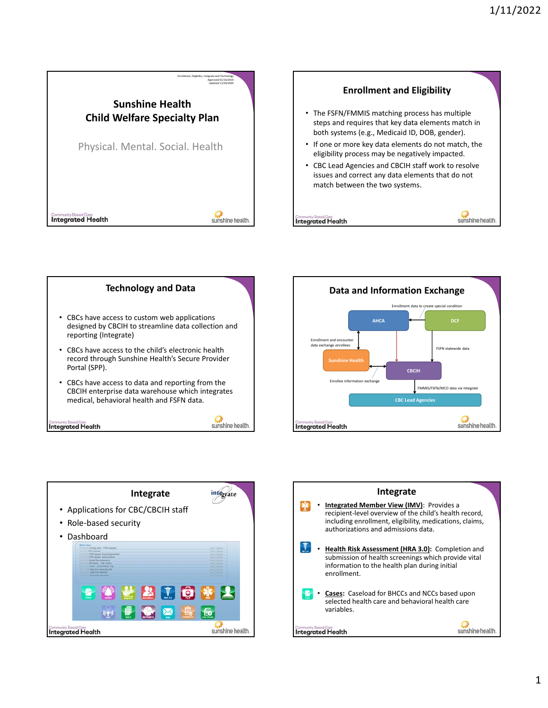









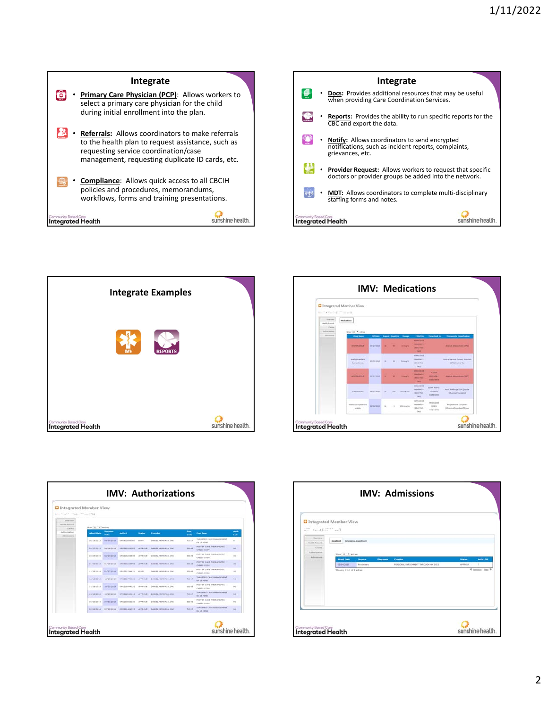





|                                                   | <b>Q</b> Integrated Member View              |                    |                            |                |                                                                 |                                  |                                                       |                       |
|---------------------------------------------------|----------------------------------------------|--------------------|----------------------------|----------------|-----------------------------------------------------------------|----------------------------------|-------------------------------------------------------|-----------------------|
| Line State Cape He Line County<br><b>Engineer</b> |                                              |                    |                            |                |                                                                 |                                  |                                                       |                       |
| <b>House Eastern</b>                              | Most 10 . * Lenings                          |                    |                            |                |                                                                 |                                  |                                                       |                       |
| Carms.<br><b>Buffinist Lighting</b><br>Addressing | <b>Admit Date</b>                            | <b>START OF</b>    | <b>Audio at</b>            | <b>Market</b>  | <b>Provided</b>                                                 | $\overline{\phantom{a}}$<br>Code | <b>Prot Time</b>                                      | $A = 0$<br><b>AOM</b> |
|                                                   | <b>DAILBIRES</b>                             | HA/BA/2011         | EPS#E2893060               | Editor         | DAMIEL PENDRIN, INC.                                            | TIBET                            | TARGETED CASE PAPANGERENT<br>EA 15 HOUS.              | ٠                     |
|                                                   | <b><i><u><i><u>ACTESSATE</u></i></u></i></b> | <b>MARGHERS</b>    | <b>ENGINEERING</b>         | Administration | Evenings, representation, iron!                                 | 99149                            | POSTER CARE THERAPELITEC<br>CHELEL-EXEM               | $\frac{1}{2}$         |
|                                                   | <b>BOISBOATS</b>                             | 92/24/2019         | CASSASSERA                 | ARREDUE        | DAMITY, HENDRIN, 1960                                           | 33145                            | POSTER CARE THERAPEUTEC.<br>CHELL-DEEM                | m                     |
|                                                   | <b>BATBATZNIE</b>                            | <b>BAZZM/BRKK</b>  | <b>GALLERY AND COMPANY</b> | APPRILLA       | DANIEL HERMINIA, INC.                                           | <b>BRLeft</b>                    | PUSTER CARE THERAPELITE!<br><b>CHELLI-JEEFH</b>       | $\sim$                |
|                                                   | 12/25/2014                                   | <b>MAZERIZERS</b>  | 1091222794471L             | FIRES.         | DARITEL PRINCIPLIAL INC.                                        | 111.01                           | FOSTER CARE THERAPEUTEC<br>CHAIN CLUMBER              | m                     |
|                                                   | sarakravie                                   | siconcess.         | desastrypia.               | APPRILIAN      | - Exhibit between the                                           | TINET                            | TAKOFTED CASE SMANDENENT<br><b>BA SE MINE</b>         | $\sim$                |
|                                                   | <b>LIUSA/2014</b>                            | AG/2R/2014         | GPESSWAAT24                | APPRILIAN      | DARIEL HENDEDA, DAC.                                            | 55145                            | FOSTER CARE THERAPEUTEC.<br>CHELD: CERN               | $\sim$                |
|                                                   | <b>JEISEDS</b>                               | <b>INSWERN</b>     | <b>SPERINING</b>           | APPRILISE.     | DAMIEL HENDRIN, INC.                                            | TERET                            | TARISETED CHIEF FIAMAILENENT<br><b>EA 23 HOME</b>     | 88                    |
|                                                   | <b>USIAN/PELA</b>                            | <b>WATER/BREAK</b> | 120124-003114              | APPRAISE       | Colorato, restractatului, literi                                | <b>SSLe3</b>                     | POSTER CARS THERAPEUTEC.<br>CHELEL-EXEM               | $\sim$                |
|                                                   |                                              |                    |                            |                | STIRATOELA NTVENTESA CIRCONSABATER APPROVE DAMES, PRIVINSIALING | TIBET                            | TARGETED CADE NINIAGEMENT<br><b><i>RALLY MING</i></b> | m                     |